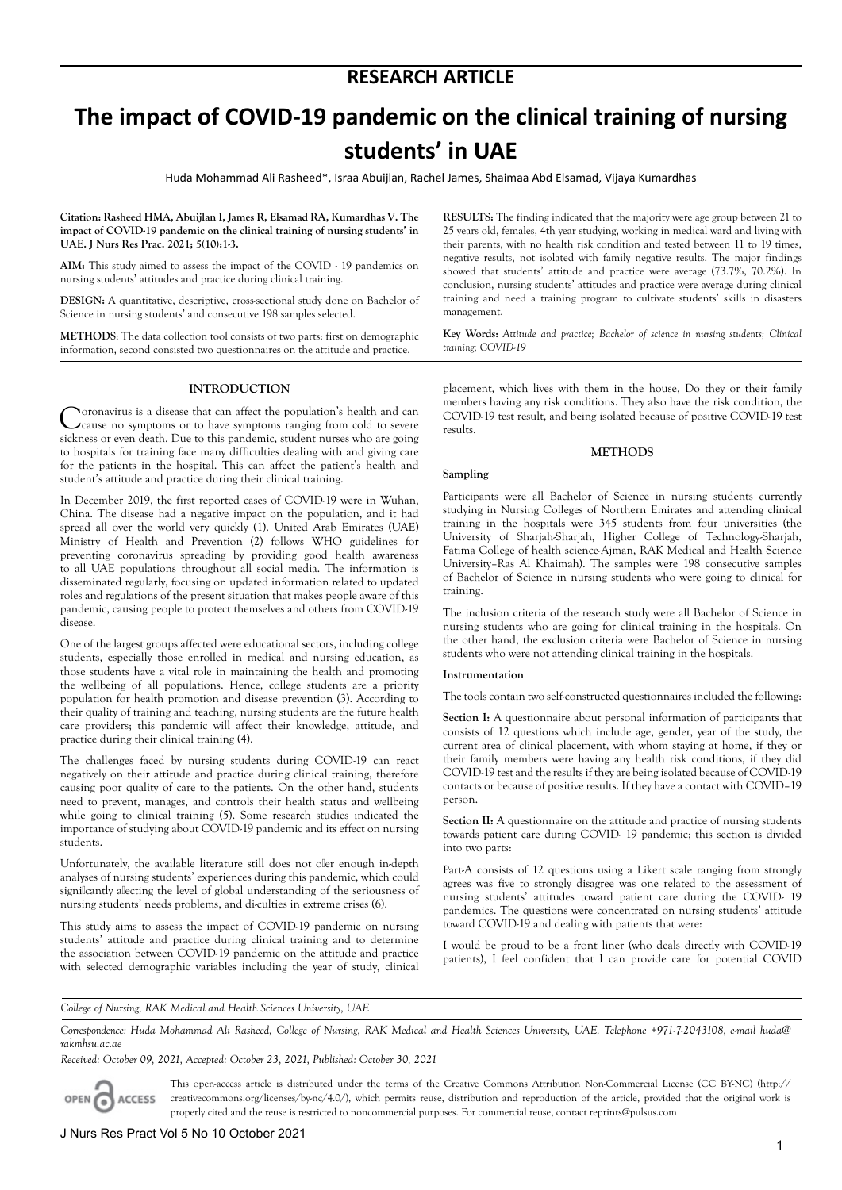# **RESEARCH ARTICLE**

# **The impact of COVID-19 pandemic on the clinical training of nursing students' in UAE**

Huda Mohammad Ali Rasheed\*, Israa Abuijlan, Rachel James, Shaimaa Abd Elsamad, Vijaya Kumardhas

**Citation: Rasheed HMA, Abuijlan I, James R, Elsamad RA, Kumardhas V. The impact of COVID-19 pandemic on the clinical training of nursing students' in UAE. J Nurs Res Prac. 2021; 5(10):1-3.**

**AIM:** This study aimed to assess the impact of the COVID - 19 pandemics on nursing students' attitudes and practice during clinical training.

**DESIGN:** A quantitative, descriptive, cross-sectional study done on Bachelor of Science in nursing students' and consecutive 198 samples selected.

**METHODS**: The data collection tool consists of two parts: first on demographic information, second consisted two questionnaires on the attitude and practice.

**RESULTS:** The finding indicated that the majority were age group between 21 to 25 years old, females, 4th year studying, working in medical ward and living with their parents, with no health risk condition and tested between 11 to 19 times, negative results, not isolated with family negative results. The major findings showed that students' attitude and practice were average (73.7%, 70.2%). In conclusion, nursing students' attitudes and practice were average during clinical training and need a training program to cultivate students' skills in disasters management.

**Key Words:** *Attitude and practice; Bachelor of science in nursing students; Clinical training; COVID-19*

## **INTRODUCTION**

Coronavirus is a disease that can affect the population's health and can cause no symptoms or to have symptoms ranging from cold to severe sickness or even death. Due to this pandemic, student nurses who are going to hospitals for training face many difficulties dealing with and giving care for the patients in the hospital. This can affect the patient's health and student's attitude and practice during their clinical training.

In December 2019, the first reported cases of COVID-19 were in Wuhan, China. The disease had a negative impact on the population, and it had spread all over the world very quickly (1). United Arab Emirates (UAE) Ministry of Health and Prevention (2) follows WHO guidelines for preventing coronavirus spreading by providing good health awareness to all UAE populations throughout all social media. The information is disseminated regularly, focusing on updated information related to updated roles and regulations of the present situation that makes people aware of this pandemic, causing people to protect themselves and others from COVID-19 disease.

One of the largest groups affected were educational sectors, including college students, especially those enrolled in medical and nursing education, as those students have a vital role in maintaining the health and promoting the wellbeing of all populations. Hence, college students are a priority population for health promotion and disease prevention (3). According to their quality of training and teaching, nursing students are the future health care providers; this pandemic will affect their knowledge, attitude, and practice during their clinical training (4).

The challenges faced by nursing students during COVID-19 can react negatively on their attitude and practice during clinical training, therefore causing poor quality of care to the patients. On the other hand, students need to prevent, manages, and controls their health status and wellbeing while going to clinical training (5). Some research studies indicated the importance of studying about COVID-19 pandemic and its effect on nursing students.

Unfortunately, the available literature still does not oller enough in-depth analyses of nursing students' experiences during this pandemic, which could significantly affecting the level of global understanding of the seriousness of nursing students' needs problems, and di-culties in extreme crises (6).

This study aims to assess the impact of COVID-19 pandemic on nursing students' attitude and practice during clinical training and to determine the association between COVID-19 pandemic on the attitude and practice with selected demographic variables including the year of study, clinical

placement, which lives with them in the house, Do they or their family members having any risk conditions. They also have the risk condition, the COVID-19 test result, and being isolated because of positive COVID-19 test results.

#### **METHODS**

#### **Sampling**

Participants were all Bachelor of Science in nursing students currently studying in Nursing Colleges of Northern Emirates and attending clinical training in the hospitals were 345 students from four universities (the University of Sharjah-Sharjah, Higher College of Technology-Sharjah, Fatima College of health science-Ajman, RAK Medical and Health Science University–Ras Al Khaimah). The samples were 198 consecutive samples of Bachelor of Science in nursing students who were going to clinical for training.

The inclusion criteria of the research study were all Bachelor of Science in nursing students who are going for clinical training in the hospitals. On the other hand, the exclusion criteria were Bachelor of Science in nursing students who were not attending clinical training in the hospitals.

#### **Instrumentation**

The tools contain two self-constructed questionnaires included the following:

**Section I:** A questionnaire about personal information of participants that consists of 12 questions which include age, gender, year of the study, the current area of clinical placement, with whom staying at home, if they or their family members were having any health risk conditions, if they did COVID-19 test and the results if they are being isolated because of COVID-19 contacts or because of positive results. If they have a contact with COVID–19 person.

**Section II:** A questionnaire on the attitude and practice of nursing students towards patient care during COVID- 19 pandemic; this section is divided into two parts:

Part-A consists of 12 questions using a Likert scale ranging from strongly agrees was five to strongly disagree was one related to the assessment of nursing students' attitudes toward patient care during the COVID- 19 pandemics. The questions were concentrated on nursing students' attitude toward COVID-19 and dealing with patients that were:

I would be proud to be a front liner (who deals directly with COVID-19 patients), I feel confident that I can provide care for potential COVID

*College of Nursing, RAK Medical and Health Sciences University, UAE*

*Correspondence: Huda Mohammad Ali Rasheed, College of Nursing, RAK Medical and Health Sciences University, UAE. Telephone +971-7-2043108, e-mail huda@ rakmhsu.ac.ae*

*Received: October 09, 2021, Accepted: October 23, 2021, Published: October 30, 2021*

OPEN CACCESS

This open-access article is distributed under the terms of the Creative Commons Attribution Non-Commercial License (CC BY-NC) (http:// creativecommons.org/licenses/by-nc/4.0/), which permits reuse, distribution and reproduction of the article, provided that the original work is properly cited and the reuse is restricted to noncommercial purposes. For commercial reuse, contact reprints@pulsus.com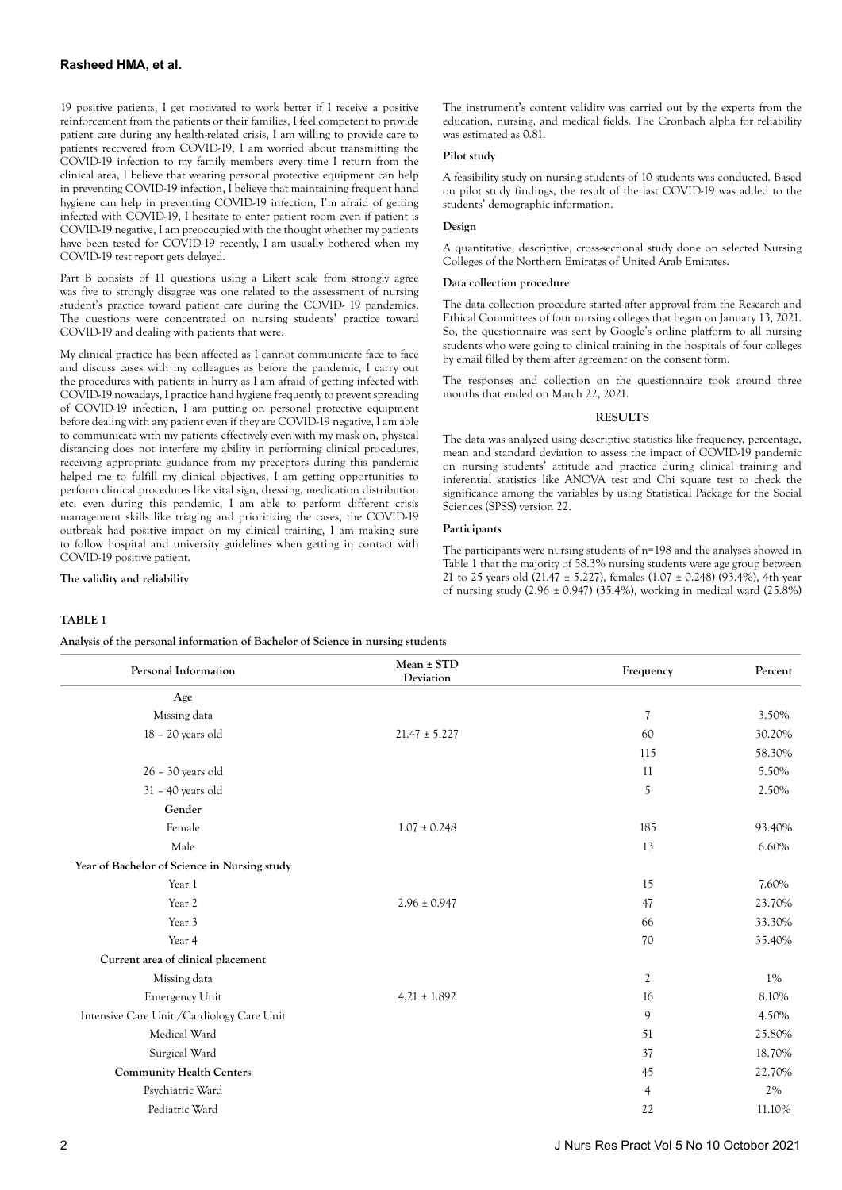19 positive patients, I get motivated to work better if I receive a positive reinforcement from the patients or their families, I feel competent to provide patient care during any health-related crisis, I am willing to provide care to patients recovered from COVID-19, I am worried about transmitting the COVID-19 infection to my family members every time I return from the clinical area, I believe that wearing personal protective equipment can help in preventing COVID-19 infection, I believe that maintaining frequent hand hygiene can help in preventing COVID-19 infection, I'm afraid of getting infected with COVID-19, I hesitate to enter patient room even if patient is COVID-19 negative, I am preoccupied with the thought whether my patients have been tested for COVID-19 recently, I am usually bothered when my COVID-19 test report gets delayed.

Part B consists of 11 questions using a Likert scale from strongly agree was five to strongly disagree was one related to the assessment of nursing student's practice toward patient care during the COVID- 19 pandemics. The questions were concentrated on nursing students' practice toward COVID-19 and dealing with patients that were:

My clinical practice has been affected as I cannot communicate face to face and discuss cases with my colleagues as before the pandemic, I carry out the procedures with patients in hurry as I am afraid of getting infected with COVID-19 nowadays, I practice hand hygiene frequently to prevent spreading of COVID-19 infection, I am putting on personal protective equipment before dealing with any patient even if they are COVID-19 negative, I am able to communicate with my patients effectively even with my mask on, physical distancing does not interfere my ability in performing clinical procedures, receiving appropriate guidance from my preceptors during this pandemic helped me to fulfill my clinical objectives, I am getting opportunities to perform clinical procedures like vital sign, dressing, medication distribution etc. even during this pandemic, I am able to perform different crisis management skills like triaging and prioritizing the cases, the COVID-19 outbreak had positive impact on my clinical training, I am making sure to follow hospital and university guidelines when getting in contact with COVID-19 positive patient.

## **The validity and reliability**

The instrument's content validity was carried out by the experts from the education, nursing, and medical fields. The Cronbach alpha for reliability was estimated as 0.81.

#### **Pilot study**

A feasibility study on nursing students of 10 students was conducted. Based on pilot study findings, the result of the last COVID-19 was added to the students' demographic information.

## **Design**

A quantitative, descriptive, cross-sectional study done on selected Nursing Colleges of the Northern Emirates of United Arab Emirates.

#### **Data collection procedure**

The data collection procedure started after approval from the Research and Ethical Committees of four nursing colleges that began on January 13, 2021. So, the questionnaire was sent by Google's online platform to all nursing students who were going to clinical training in the hospitals of four colleges by email filled by them after agreement on the consent form.

The responses and collection on the questionnaire took around three months that ended on March 22, 2021.

#### **RESULTS**

The data was analyzed using descriptive statistics like frequency, percentage, mean and standard deviation to assess the impact of COVID-19 pandemic on nursing students' attitude and practice during clinical training and inferential statistics like ANOVA test and Chi square test to check the significance among the variables by using Statistical Package for the Social Sciences (SPSS) version 22.

#### **Participants**

The participants were nursing students of n=198 and the analyses showed in Table 1 that the majority of 58.3% nursing students were age group between 21 to 25 years old (21.47  $\pm$  5.227), females (1.07  $\pm$  0.248) (93.4%), 4th year of nursing study (2.96 ± 0.947) (35.4%), working in medical ward (25.8%)

# **TABLE 1**

**Analysis of the personal information of Bachelor of Science in nursing students**

| Personal Information                         | Mean ± STD<br>Deviation | Frequency                | Percent |
|----------------------------------------------|-------------------------|--------------------------|---------|
| Age                                          |                         |                          |         |
| Missing data                                 |                         | $\overline{\mathcal{U}}$ | 3.50%   |
| 18 - 20 years old                            | $21.47 \pm 5.227$       | 60                       | 30.20%  |
|                                              |                         | 115                      | 58.30%  |
| $26 - 30$ years old                          |                         | 11                       | 5.50%   |
| 31 - 40 years old                            |                         | 5                        | 2.50%   |
| Gender                                       |                         |                          |         |
| Female                                       | $1.07 \pm 0.248$        | 185                      | 93.40%  |
| Male                                         |                         | 13                       | 6.60%   |
| Year of Bachelor of Science in Nursing study |                         |                          |         |
| Year 1                                       |                         | 15                       | 7.60%   |
| Year 2                                       | $2.96 \pm 0.947$        | 47                       | 23.70%  |
| Year 3                                       |                         | 66                       | 33.30%  |
| Year 4                                       |                         | 70                       | 35.40%  |
| Current area of clinical placement           |                         |                          |         |
| Missing data                                 |                         | $\mathfrak{2}$           | $1\%$   |
| <b>Emergency Unit</b>                        | $4.21 \pm 1.892$        | 16                       | 8.10%   |
| Intensive Care Unit / Cardiology Care Unit   |                         | 9                        | 4.50%   |
| Medical Ward                                 |                         | 51                       | 25.80%  |
| Surgical Ward                                |                         | 37                       | 18.70%  |
| <b>Community Health Centers</b>              |                         | 45                       | 22.70%  |
| Psychiatric Ward                             |                         | 4                        | 2%      |
| Pediatric Ward                               |                         | 22                       | 11.10%  |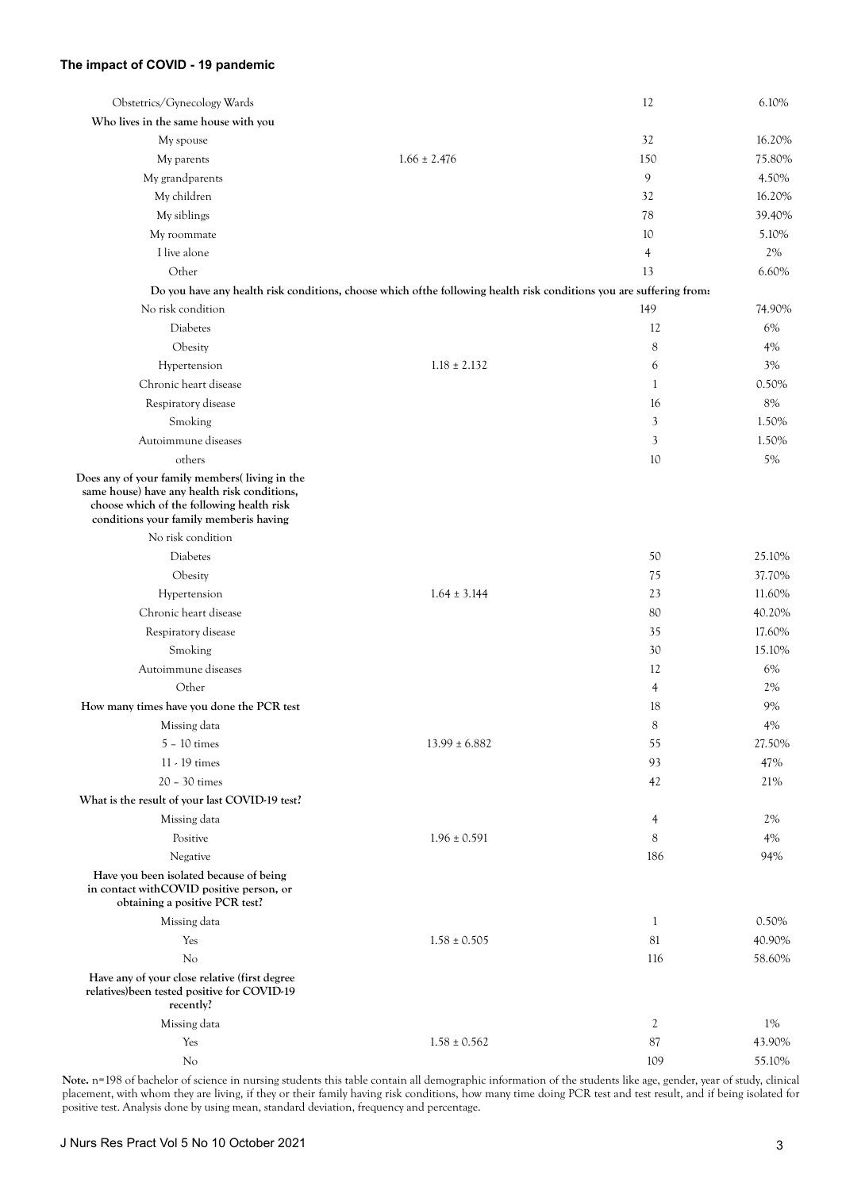# **The impact of COVID - 19 pandemic**

| Obstetrics/Gynecology Wards                                                                                                                                                          |                                                                                                                      | 12           | 6.10%  |
|--------------------------------------------------------------------------------------------------------------------------------------------------------------------------------------|----------------------------------------------------------------------------------------------------------------------|--------------|--------|
| Who lives in the same house with you                                                                                                                                                 |                                                                                                                      |              |        |
| My spouse                                                                                                                                                                            |                                                                                                                      | 32           | 16.20% |
| My parents                                                                                                                                                                           | $1.66 \pm 2.476$                                                                                                     | 150          | 75.80% |
| My grandparents                                                                                                                                                                      |                                                                                                                      | 9            | 4.50%  |
| My children                                                                                                                                                                          |                                                                                                                      | 32           | 16.20% |
| My siblings                                                                                                                                                                          |                                                                                                                      | 78           | 39.40% |
| My roommate                                                                                                                                                                          |                                                                                                                      | 10           | 5.10%  |
| I live alone                                                                                                                                                                         |                                                                                                                      | 4            | 2%     |
| Other                                                                                                                                                                                |                                                                                                                      | 13           | 6.60%  |
|                                                                                                                                                                                      | Do you have any health risk conditions, choose which of the following health risk conditions you are suffering from: |              |        |
| No risk condition                                                                                                                                                                    |                                                                                                                      | 149          | 74.90% |
| Diabetes                                                                                                                                                                             |                                                                                                                      | 12           | 6%     |
| Obesity                                                                                                                                                                              |                                                                                                                      | 8            | 4%     |
| Hypertension                                                                                                                                                                         | $1.18 \pm 2.132$                                                                                                     | 6            | 3%     |
| Chronic heart disease                                                                                                                                                                |                                                                                                                      | 1            | 0.50%  |
| Respiratory disease                                                                                                                                                                  |                                                                                                                      | 16           | 8%     |
| Smoking                                                                                                                                                                              |                                                                                                                      | 3            | 1.50%  |
| Autoimmune diseases                                                                                                                                                                  |                                                                                                                      | 3            | 1.50%  |
| others                                                                                                                                                                               |                                                                                                                      | 10           | 5%     |
| Does any of your family members(living in the<br>same house) have any health risk conditions,<br>choose which of the following health risk<br>conditions your family memberis having |                                                                                                                      |              |        |
| No risk condition                                                                                                                                                                    |                                                                                                                      |              |        |
| Diabetes                                                                                                                                                                             |                                                                                                                      | 50           | 25.10% |
| Obesity                                                                                                                                                                              |                                                                                                                      | 75           | 37.70% |
| Hypertension                                                                                                                                                                         | $1.64 \pm 3.144$                                                                                                     | 23           | 11.60% |
| Chronic heart disease                                                                                                                                                                |                                                                                                                      | 80           | 40.20% |
| Respiratory disease                                                                                                                                                                  |                                                                                                                      | 35           | 17.60% |
| Smoking                                                                                                                                                                              |                                                                                                                      | 30           | 15.10% |
| Autoimmune diseases                                                                                                                                                                  |                                                                                                                      | 12           | 6%     |
| Other                                                                                                                                                                                |                                                                                                                      | 4            | 2%     |
| How many times have you done the PCR test                                                                                                                                            |                                                                                                                      | 18           | 9%     |
| Missing data                                                                                                                                                                         |                                                                                                                      |              |        |
|                                                                                                                                                                                      |                                                                                                                      | 8            | 4%     |
| $5 - 10$ times                                                                                                                                                                       | $13.99 \pm 6.882$                                                                                                    | 55           | 27.50% |
| 11 - 19 times                                                                                                                                                                        |                                                                                                                      | 93           | 47%    |
| $20 - 30$ times                                                                                                                                                                      |                                                                                                                      | 42           | 21%    |
| What is the result of your last COVID-19 test?                                                                                                                                       |                                                                                                                      |              |        |
| Missing data                                                                                                                                                                         |                                                                                                                      | 4            | 2%     |
| Positive                                                                                                                                                                             | $1.96 \pm 0.591$                                                                                                     | 8            | 4%     |
| Negative                                                                                                                                                                             |                                                                                                                      | 186          | 94%    |
| Have you been isolated because of being<br>in contact with COVID positive person, or<br>obtaining a positive PCR test?                                                               |                                                                                                                      |              |        |
| Missing data                                                                                                                                                                         |                                                                                                                      | $\mathbf{1}$ | 0.50%  |
| Yes                                                                                                                                                                                  | $1.58 \pm 0.505$                                                                                                     | 81           | 40.90% |
| N <sub>o</sub>                                                                                                                                                                       |                                                                                                                      | 116          | 58.60% |
| Have any of your close relative (first degree<br>relatives) been tested positive for COVID-19<br>recently?                                                                           |                                                                                                                      |              |        |
| Missing data                                                                                                                                                                         |                                                                                                                      | 2            | 1%     |
| Yes                                                                                                                                                                                  | $1.58 \pm 0.562$                                                                                                     | 87           | 43.90% |
| No                                                                                                                                                                                   |                                                                                                                      | 109          | 55.10% |

**Note.** n=198 of bachelor of science in nursing students this table contain all demographic information of the students like age, gender, year of study, clinical placement, with whom they are living, if they or their family having risk conditions, how many time doing PCR test and test result, and if being isolated for positive test. Analysis done by using mean, standard deviation, frequency and percentage.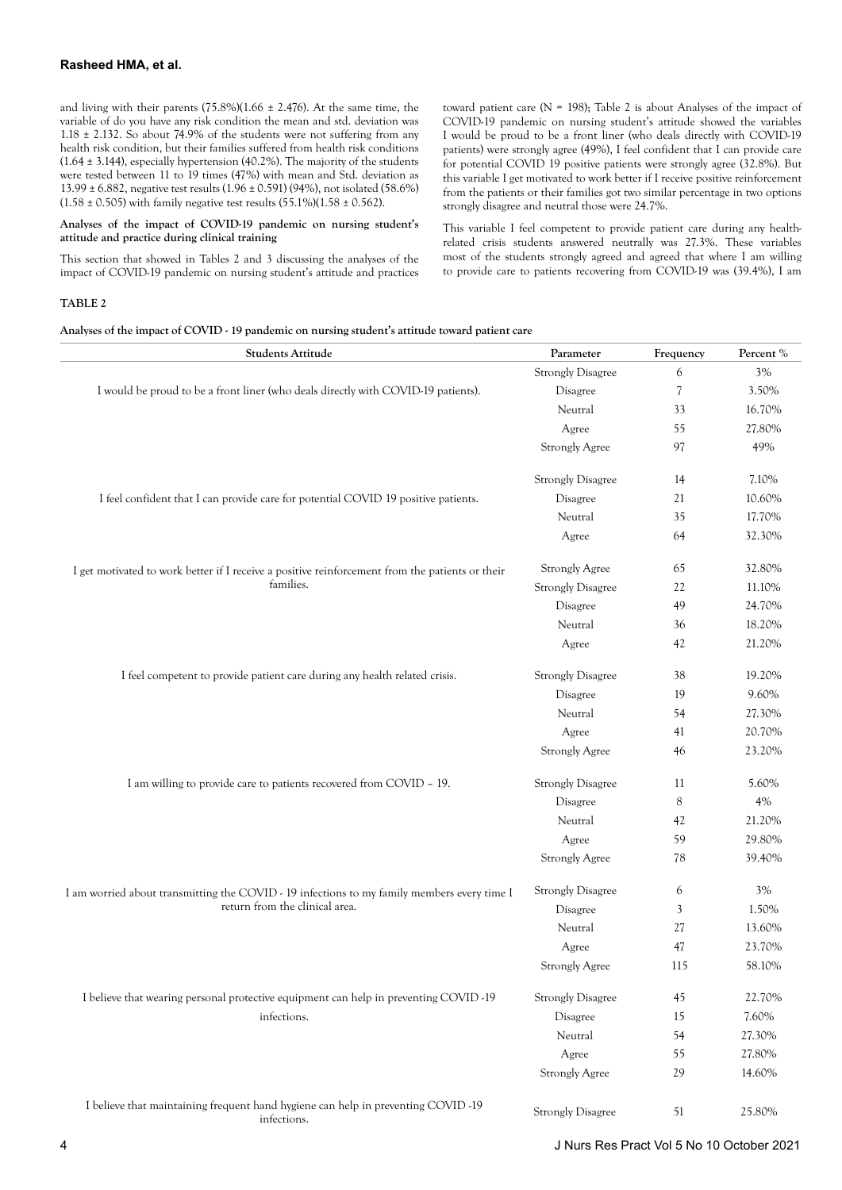and living with their parents  $(75.8\%)(1.66 \pm 2.476)$ . At the same time, the variable of do you have any risk condition the mean and std. deviation was 1.18  $\pm$  2.132. So about 74.9% of the students were not suffering from any health risk condition, but their families suffered from health risk conditions (1.64 ± 3.144), especially hypertension (40.2%). The majority of the students were tested between 11 to 19 times (47%) with mean and Std. deviation as 13.99 ± 6.882, negative test results (1.96 ± 0.591) (94%), not isolated (58.6%)  $(1.58 \pm 0.505)$  with family negative test results  $(55.1\%)$  $(1.58 \pm 0.562)$ .

## **Analyses of the impact of COVID-19 pandemic on nursing student's attitude and practice during clinical training**

This section that showed in Tables 2 and 3 discussing the analyses of the impact of COVID-19 pandemic on nursing student's attitude and practices toward patient care ( $N = 198$ ); Table 2 is about Analyses of the impact of COVID-19 pandemic on nursing student's attitude showed the variables I would be proud to be a front liner (who deals directly with COVID-19 patients) were strongly agree (49%), I feel confident that I can provide care for potential COVID 19 positive patients were strongly agree (32.8%). But this variable I get motivated to work better if I receive positive reinforcement from the patients or their families got two similar percentage in two options strongly disagree and neutral those were 24.7%.

This variable I feel competent to provide patient care during any healthrelated crisis students answered neutrally was 27.3%. These variables most of the students strongly agreed and agreed that where I am willing to provide care to patients recovering from COVID-19 was (39.4%), I am

# **TABLE 2**

**Analyses of the impact of COVID - 19 pandemic on nursing student's attitude toward patient care**

| <b>Students Attitude</b>                                                                         | Parameter                | Frequency                | Percent % |
|--------------------------------------------------------------------------------------------------|--------------------------|--------------------------|-----------|
|                                                                                                  | <b>Strongly Disagree</b> | 6                        | $3\%$     |
| I would be proud to be a front liner (who deals directly with COVID-19 patients).                | Disagree                 | $\overline{\mathcal{U}}$ | 3.50%     |
|                                                                                                  | Neutral                  | 33                       | 16.70%    |
|                                                                                                  | Agree                    | 55                       | 27.80%    |
|                                                                                                  | <b>Strongly Agree</b>    | 97                       | 49%       |
|                                                                                                  | <b>Strongly Disagree</b> | 14                       | 7.10%     |
| I feel confident that I can provide care for potential COVID 19 positive patients.               | Disagree                 | 21                       | 10.60%    |
|                                                                                                  | Neutral                  | 35                       | 17.70%    |
|                                                                                                  | Agree                    | 64                       | 32.30%    |
| I get motivated to work better if I receive a positive reinforcement from the patients or their  | <b>Strongly Agree</b>    | 65                       | 32.80%    |
| families.                                                                                        | <b>Strongly Disagree</b> | 22                       | 11.10%    |
|                                                                                                  | Disagree                 | 49                       | 24.70%    |
|                                                                                                  | Neutral                  | 36                       | 18.20%    |
|                                                                                                  | Agree                    | 42                       | 21.20%    |
| I feel competent to provide patient care during any health related crisis.                       | <b>Strongly Disagree</b> | 38                       | 19.20%    |
|                                                                                                  | Disagree                 | 19                       | 9.60%     |
|                                                                                                  | Neutral                  | 54                       | 27.30%    |
|                                                                                                  | Agree                    | 41                       | 20.70%    |
|                                                                                                  | <b>Strongly Agree</b>    | 46                       | 23.20%    |
| I am willing to provide care to patients recovered from COVID - 19.                              | <b>Strongly Disagree</b> | 11                       | 5.60%     |
|                                                                                                  | Disagree                 | 8                        | 4%        |
|                                                                                                  | Neutral                  | 42                       | 21.20%    |
|                                                                                                  | Agree                    | 59                       | 29.80%    |
|                                                                                                  | <b>Strongly Agree</b>    | 78                       | 39.40%    |
| I am worried about transmitting the COVID - 19 infections to my family members every time I      | <b>Strongly Disagree</b> | 6                        | 3%        |
| return from the clinical area.                                                                   | Disagree                 | 3                        | 1.50%     |
|                                                                                                  | Neutral                  | $27\,$                   | 13.60%    |
|                                                                                                  | Agree                    | 47                       | 23.70%    |
|                                                                                                  | <b>Strongly Agree</b>    | 115                      | 58.10%    |
| I believe that wearing personal protective equipment can help in preventing COVID -19            | <b>Strongly Disagree</b> | 45                       | 22.70%    |
| infections.                                                                                      | Disagree                 | 15                       | 7.60%     |
|                                                                                                  | Neutral                  | 54                       | 27.30%    |
|                                                                                                  | Agree                    | 55                       | 27.80%    |
|                                                                                                  | <b>Strongly Agree</b>    | 29                       | 14.60%    |
| I believe that maintaining frequent hand hygiene can help in preventing COVID -19<br>infections. | <b>Strongly Disagree</b> | 51                       | 25.80%    |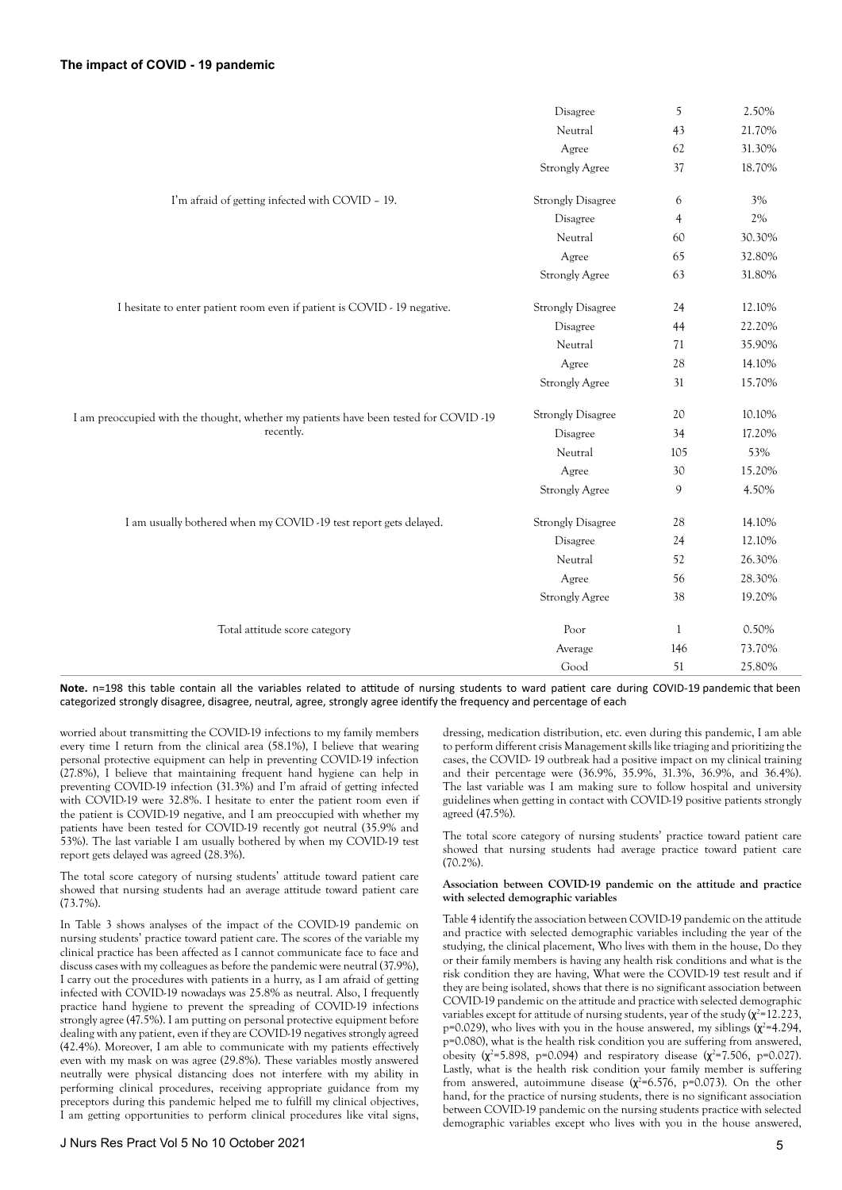|                                                                                       | Disagree                 | 5              | 2.50%  |
|---------------------------------------------------------------------------------------|--------------------------|----------------|--------|
|                                                                                       | Neutral                  | 43             | 21.70% |
|                                                                                       | Agree                    | 62             | 31.30% |
|                                                                                       | <b>Strongly Agree</b>    | 37             | 18.70% |
| I'm afraid of getting infected with COVID - 19.                                       | <b>Strongly Disagree</b> | 6              | 3%     |
|                                                                                       | Disagree                 | $\overline{4}$ | $2\%$  |
|                                                                                       | Neutral                  | 60             | 30.30% |
|                                                                                       | Agree                    | 65             | 32.80% |
|                                                                                       | <b>Strongly Agree</b>    | 63             | 31.80% |
| I hesitate to enter patient room even if patient is COVID - 19 negative.              | <b>Strongly Disagree</b> | 24             | 12.10% |
|                                                                                       | Disagree                 | 44             | 22.20% |
|                                                                                       | Neutral                  | 71             | 35.90% |
|                                                                                       | Agree                    | 28             | 14.10% |
|                                                                                       | <b>Strongly Agree</b>    | 31             | 15.70% |
| I am preoccupied with the thought, whether my patients have been tested for COVID -19 | <b>Strongly Disagree</b> | 20             | 10.10% |
| recently.                                                                             | Disagree                 | 34             | 17.20% |
|                                                                                       | Neutral                  | 105            | 53%    |
|                                                                                       | Agree                    | 30             | 15.20% |
|                                                                                       | <b>Strongly Agree</b>    | 9              | 4.50%  |
| I am usually bothered when my COVID -19 test report gets delayed.                     | <b>Strongly Disagree</b> | 28             | 14.10% |
|                                                                                       | Disagree                 | 24             | 12.10% |
|                                                                                       | Neutral                  | 52             | 26.30% |
|                                                                                       | Agree                    | 56             | 28.30% |
|                                                                                       | <b>Strongly Agree</b>    | 38             | 19.20% |
| Total attitude score category                                                         | Poor                     | $\mathbf{1}$   | 0.50%  |
|                                                                                       | Average                  | 146            | 73.70% |
|                                                                                       | Good                     | 51             | 25.80% |

Note. n=198 this table contain all the variables related to attitude of nursing students to ward patient care during COVID-19 pandemic that been categorized strongly disagree, disagree, neutral, agree, strongly agree identify the frequency and percentage of each

worried about transmitting the COVID-19 infections to my family members every time I return from the clinical area (58.1%), I believe that wearing personal protective equipment can help in preventing COVID-19 infection (27.8%), I believe that maintaining frequent hand hygiene can help in preventing COVID-19 infection (31.3%) and I'm afraid of getting infected with COVID-19 were 32.8%. I hesitate to enter the patient room even if the patient is COVID-19 negative, and I am preoccupied with whether my patients have been tested for COVID-19 recently got neutral (35.9% and 53%). The last variable I am usually bothered by when my COVID-19 test report gets delayed was agreed (28.3%).

The total score category of nursing students' attitude toward patient care showed that nursing students had an average attitude toward patient care (73.7%).

In Table 3 shows analyses of the impact of the COVID-19 pandemic on nursing students' practice toward patient care. The scores of the variable my clinical practice has been affected as I cannot communicate face to face and discuss cases with my colleagues as before the pandemic were neutral (37.9%), I carry out the procedures with patients in a hurry, as I am afraid of getting infected with COVID-19 nowadays was 25.8% as neutral. Also, I frequently practice hand hygiene to prevent the spreading of COVID-19 infections strongly agree (47.5%). I am putting on personal protective equipment before dealing with any patient, even if they are COVID-19 negatives strongly agreed (42.4%). Moreover, I am able to communicate with my patients effectively even with my mask on was agree (29.8%). These variables mostly answered neutrally were physical distancing does not interfere with my ability in performing clinical procedures, receiving appropriate guidance from my preceptors during this pandemic helped me to fulfill my clinical objectives, I am getting opportunities to perform clinical procedures like vital signs, dressing, medication distribution, etc. even during this pandemic, I am able to perform different crisis Management skills like triaging and prioritizing the cases, the COVID- 19 outbreak had a positive impact on my clinical training and their percentage were (36.9%, 35.9%, 31.3%, 36.9%, and 36.4%). The last variable was I am making sure to follow hospital and university guidelines when getting in contact with COVID-19 positive patients strongly agreed (47.5%).

The total score category of nursing students' practice toward patient care showed that nursing students had average practice toward patient care  $(70.2\%)$ 

#### **Association between COVID-19 pandemic on the attitude and practice with selected demographic variables**

Table 4 identify the association between COVID-19 pandemic on the attitude and practice with selected demographic variables including the year of the studying, the clinical placement, Who lives with them in the house, Do they or their family members is having any health risk conditions and what is the risk condition they are having, What were the COVID-19 test result and if they are being isolated, shows that there is no significant association between COVID-19 pandemic on the attitude and practice with selected demographic variables except for attitude of nursing students, year of the study  $(\chi^2=12.223,$  $p=0.029$ ), who lives with you in the house answered, my siblings ( $\chi^2=4.294$ , p=0.080), what is the health risk condition you are suffering from answered, obesity ( $\chi^2$ =5.898, p=0.094) and respiratory disease ( $\chi^2$ =7.506, p=0.027). Lastly, what is the health risk condition your family member is suffering from answered, autoimmune disease  $(\chi^2=6.576, p=0.073)$ . On the other hand, for the practice of nursing students, there is no significant association between COVID-19 pandemic on the nursing students practice with selected demographic variables except who lives with you in the house answered,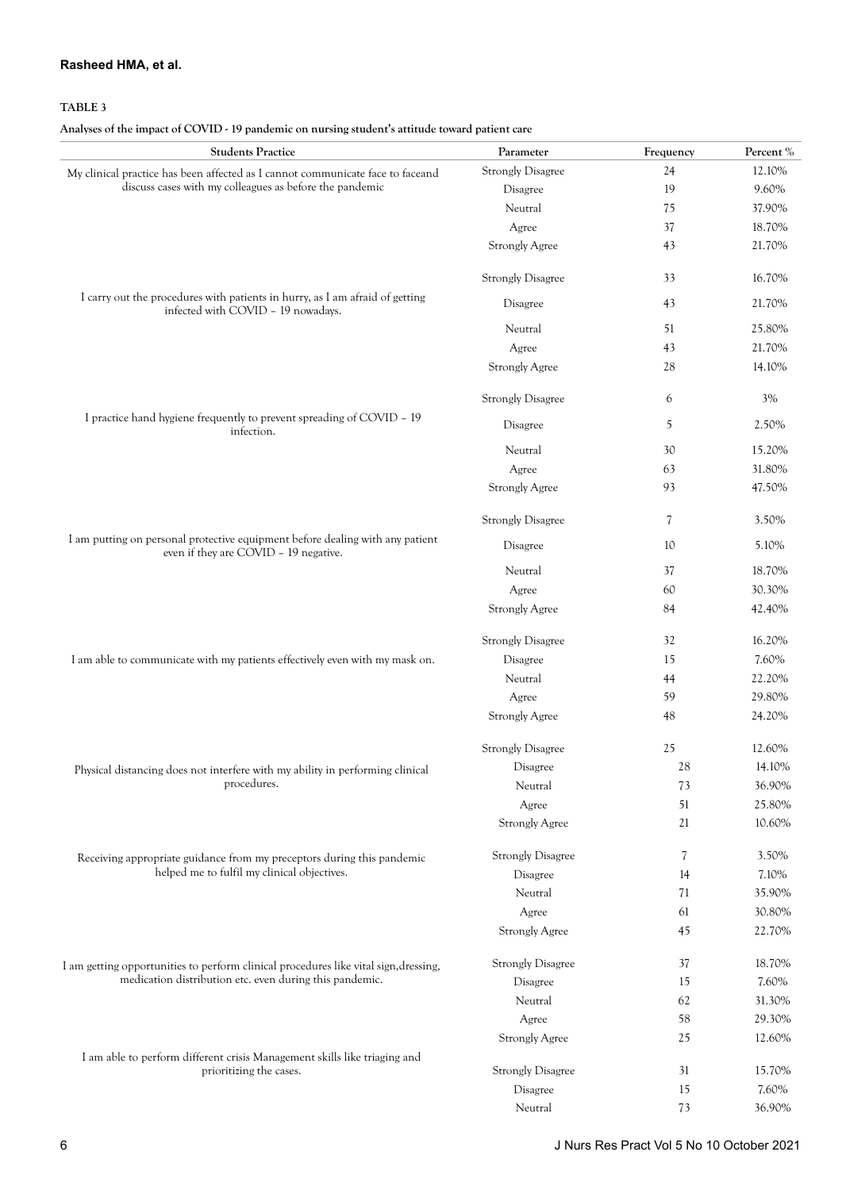# **TABLE 3**

**Analyses of the impact of COVID - 19 pandemic on nursing student's attitude toward patient care**

| <b>Students Practice</b>                                                                                               | Parameter                | Frequency                | Percent % |
|------------------------------------------------------------------------------------------------------------------------|--------------------------|--------------------------|-----------|
| My clinical practice has been affected as I cannot communicate face to faceand                                         | <b>Strongly Disagree</b> | 24                       | 12.10%    |
| discuss cases with my colleagues as before the pandemic                                                                | Disagree                 | 19                       | 9.60%     |
|                                                                                                                        | Neutral                  | 75                       | 37.90%    |
|                                                                                                                        | Agree                    | 37                       | 18.70%    |
|                                                                                                                        | <b>Strongly Agree</b>    | 43                       | 21.70%    |
|                                                                                                                        | <b>Strongly Disagree</b> | 33                       | 16.70%    |
| I carry out the procedures with patients in hurry, as I am afraid of getting<br>infected with COVID - 19 nowadays.     | Disagree                 | 43                       | 21.70%    |
|                                                                                                                        | Neutral                  | 51                       | 25.80%    |
|                                                                                                                        | Agree                    | 43                       | 21.70%    |
|                                                                                                                        | <b>Strongly Agree</b>    | 28                       | 14.10%    |
|                                                                                                                        | <b>Strongly Disagree</b> | 6                        | 3%        |
| I practice hand hygiene frequently to prevent spreading of COVID - 19<br>infection.                                    | Disagree                 | 5                        | 2.50%     |
|                                                                                                                        | Neutral                  | 30                       | 15.20%    |
|                                                                                                                        | Agree                    | 63                       | 31.80%    |
|                                                                                                                        | <b>Strongly Agree</b>    | 93                       | 47.50%    |
|                                                                                                                        | <b>Strongly Disagree</b> | $\overline{\mathcal{U}}$ | 3.50%     |
| I am putting on personal protective equipment before dealing with any patient<br>even if they are COVID - 19 negative. | Disagree                 | 10                       | 5.10%     |
|                                                                                                                        | Neutral                  | 37                       | 18.70%    |
|                                                                                                                        | Agree                    | 60                       | 30.30%    |
|                                                                                                                        | <b>Strongly Agree</b>    | 84                       | 42.40%    |
|                                                                                                                        | <b>Strongly Disagree</b> | 32                       | 16.20%    |
| I am able to communicate with my patients effectively even with my mask on.                                            | Disagree                 | 15                       | 7.60%     |
|                                                                                                                        | Neutral                  | 44                       | 22.20%    |
|                                                                                                                        | Agree                    | 59                       | 29.80%    |
|                                                                                                                        | <b>Strongly Agree</b>    | 48                       | 24.20%    |
|                                                                                                                        | <b>Strongly Disagree</b> | 25                       | 12.60%    |
| Physical distancing does not interfere with my ability in performing clinical                                          | Disagree                 | 28                       | 14.10%    |
| procedures.                                                                                                            | Neutral                  | 73                       | 36.90%    |
|                                                                                                                        | Agree                    | 51                       | 25.80%    |
|                                                                                                                        | <b>Strongly Agree</b>    | 21                       | 10.60%    |
| Receiving appropriate guidance from my preceptors during this pandemic                                                 | <b>Strongly Disagree</b> | 7                        | 3.50%     |
| helped me to fulfil my clinical objectives.                                                                            | Disagree                 | 14                       | 7.10%     |
|                                                                                                                        | Neutral                  | 71                       | 35.90%    |
|                                                                                                                        | Agree                    | 61                       | 30.80%    |
|                                                                                                                        | <b>Strongly Agree</b>    | 45                       | 22.70%    |
| I am getting opportunities to perform clinical procedures like vital sign, dressing,                                   | <b>Strongly Disagree</b> | 37                       | 18.70%    |
| medication distribution etc. even during this pandemic.                                                                | Disagree                 | 15                       | 7.60%     |
|                                                                                                                        | Neutral                  | 62                       | 31.30%    |
|                                                                                                                        | Agree                    | 58                       | 29.30%    |
| I am able to perform different crisis Management skills like triaging and                                              | <b>Strongly Agree</b>    | 25                       | 12.60%    |
| prioritizing the cases.                                                                                                | <b>Strongly Disagree</b> | 31                       | 15.70%    |
|                                                                                                                        | Disagree                 | 15                       | 7.60%     |
|                                                                                                                        | Neutral                  | 73                       | 36.90%    |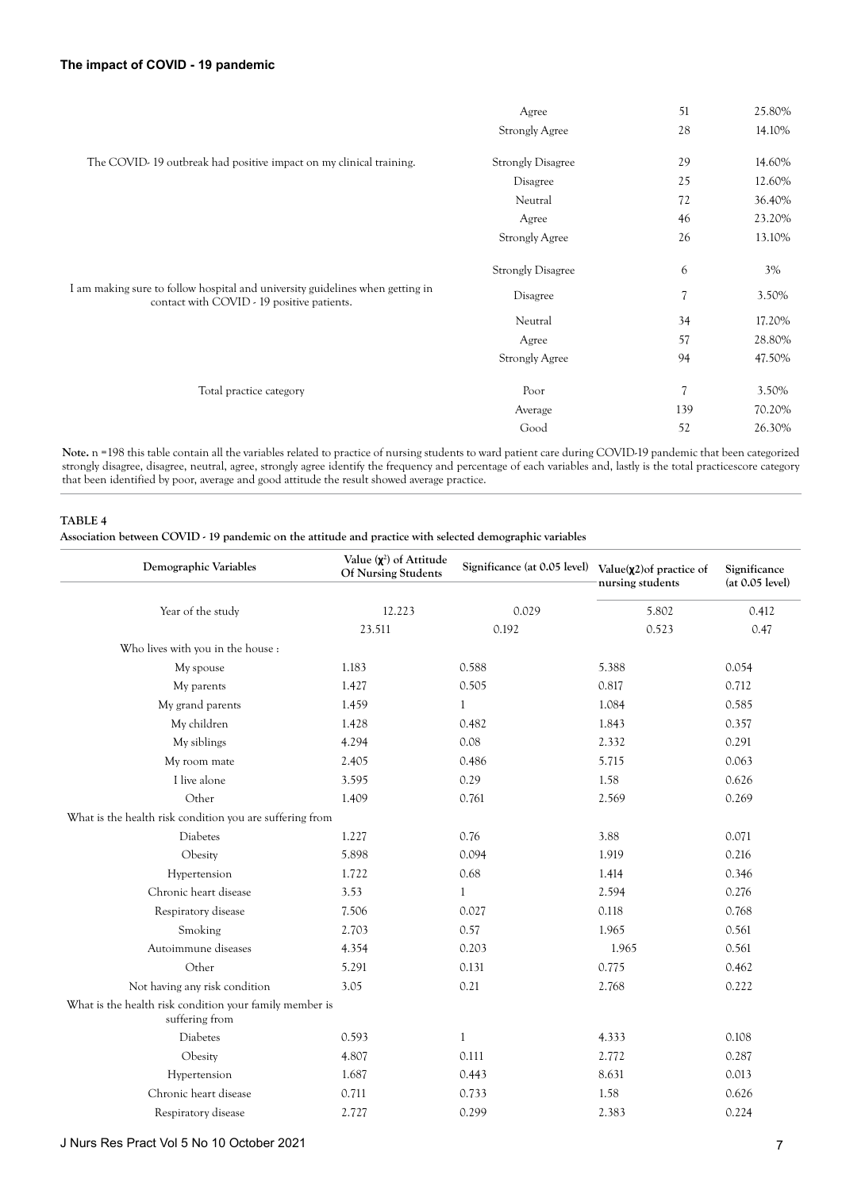|                                                                                                                             | Agree                    | 51                       | 25.80% |
|-----------------------------------------------------------------------------------------------------------------------------|--------------------------|--------------------------|--------|
|                                                                                                                             | <b>Strongly Agree</b>    | 28                       | 14.10% |
| The COVID-19 outbreak had positive impact on my clinical training.                                                          | <b>Strongly Disagree</b> | 29                       | 14.60% |
|                                                                                                                             | Disagree                 | 25                       | 12.60% |
|                                                                                                                             | Neutral                  | 72                       | 36.40% |
|                                                                                                                             | Agree                    | 46                       | 23.20% |
|                                                                                                                             | <b>Strongly Agree</b>    | 26                       | 13.10% |
|                                                                                                                             | <b>Strongly Disagree</b> | 6                        | 3%     |
| I am making sure to follow hospital and university guidelines when getting in<br>contact with COVID - 19 positive patients. | Disagree                 | $\overline{\mathcal{U}}$ | 3.50%  |
|                                                                                                                             | Neutral                  | 34                       | 17.20% |
|                                                                                                                             | Agree                    | 57                       | 28.80% |
|                                                                                                                             | <b>Strongly Agree</b>    | 94                       | 47.50% |
| Total practice category                                                                                                     | Poor                     | $\overline{7}$           | 3.50%  |
|                                                                                                                             | Average                  | 139                      | 70.20% |
|                                                                                                                             | Good                     | 52                       | 26.30% |

**Note.** n =198 this table contain all the variables related to practice of nursing students to ward patient care during COVID-19 pandemic that been categorized strongly disagree, disagree, neutral, agree, strongly agree identify the frequency and percentage of each variables and, lastly is the total practice score category that been identified by poor, average and good attitude the result showed average practice.

# **TABLE 4**

**Association between COVID - 19 pandemic on the attitude and practice with selected demographic variables**

| Demographic Variables                                                     | Value $(\chi^2)$ of Attitude<br>Of Nursing Students | Significance (at 0.05 level) Value(x2)of practice of | nursing students | Significance<br>(at 0.05 level) |
|---------------------------------------------------------------------------|-----------------------------------------------------|------------------------------------------------------|------------------|---------------------------------|
| Year of the study                                                         | 12.223                                              | 0.029                                                | 5.802            | 0.412                           |
|                                                                           | 23.511                                              | 0.192                                                | 0.523            | 0.47                            |
| Who lives with you in the house :                                         |                                                     |                                                      |                  |                                 |
| My spouse                                                                 | 1.183                                               | 0.588                                                | 5.388            | 0.054                           |
| My parents                                                                | 1.427                                               | 0.505                                                | 0.817            | 0.712                           |
| My grand parents                                                          | 1.459                                               | $\mathbf{1}$                                         | 1.084            | 0.585                           |
| My children                                                               | 1.428                                               | 0.482                                                | 1.843            | 0.357                           |
| My siblings                                                               | 4.294                                               | 0.08                                                 | 2.332            | 0.291                           |
| My room mate                                                              | 2.405                                               | 0.486                                                | 5.715            | 0.063                           |
| I live alone                                                              | 3.595                                               | 0.29                                                 | 1.58             | 0.626                           |
| Other                                                                     | 1.409                                               | 0.761                                                | 2.569            | 0.269                           |
| What is the health risk condition you are suffering from                  |                                                     |                                                      |                  |                                 |
| <b>Diabetes</b>                                                           | 1.227                                               | 0.76                                                 | 3.88             | 0.071                           |
| Obesity                                                                   | 5.898                                               | 0.094                                                | 1.919            | 0.216                           |
| Hypertension                                                              | 1.722                                               | 0.68                                                 | 1.414            | 0.346                           |
| Chronic heart disease                                                     | 3.53                                                | $\mathbf{1}$                                         | 2.594            | 0.276                           |
| Respiratory disease                                                       | 7.506                                               | 0.027                                                | 0.118            | 0.768                           |
| Smoking                                                                   | 2.703                                               | 0.57                                                 | 1.965            | 0.561                           |
| Autoimmune diseases                                                       | 4.354                                               | 0.203                                                | 1.965            | 0.561                           |
| Other                                                                     | 5.291                                               | 0.131                                                | 0.775            | 0.462                           |
| Not having any risk condition                                             | 3.05                                                | 0.21                                                 | 2.768            | 0.222                           |
| What is the health risk condition your family member is<br>suffering from |                                                     |                                                      |                  |                                 |
| <b>Diabetes</b>                                                           | 0.593                                               | 1                                                    | 4.333            | 0.108                           |
| Obesity                                                                   | 4.807                                               | 0.111                                                | 2.772            | 0.287                           |
| Hypertension                                                              | 1.687                                               | 0.443                                                | 8.631            | 0.013                           |
| Chronic heart disease                                                     | 0.711                                               | 0.733                                                | 1.58             | 0.626                           |
| Respiratory disease                                                       | 2.727                                               | 0.299                                                | 2.383            | 0.224                           |

J Nurs Res Pract Vol 5 No 10 October 2021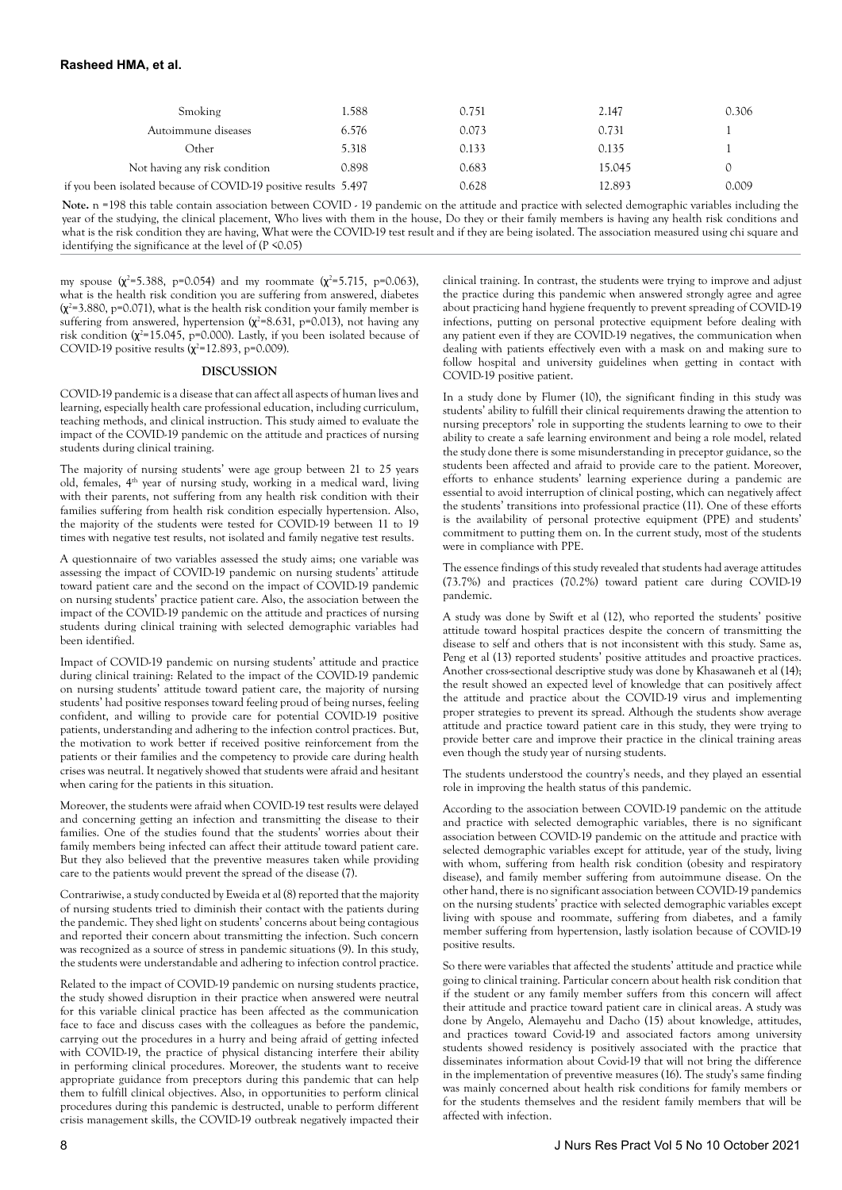| Smoking                                                         | l.588 | 0.751 | 2.147  | 0.306 |
|-----------------------------------------------------------------|-------|-------|--------|-------|
| Autoimmune diseases                                             | 6.576 | 0.073 | 0.731  |       |
| Other                                                           | 5.318 | 0.133 | 0.135  |       |
| Not having any risk condition                                   | 0.898 | 0.683 | 15.045 |       |
| if you been isolated because of COVID-19 positive results 5.497 |       | 0.628 | 12.893 | 0.009 |

Note. n =198 this table contain association between COVID - 19 pandemic on the attitude and practice with selected demographic variables including the year of the studying, the clinical placement, Who lives with them in the house, Do they or their family members is having any health risk conditions and what is the risk condition they are having, What were the COVID-19 test result and if they are being isolated. The association measured using chi square and identifying the significance at the level of (P <0.05)

my spouse  $(\chi^2 = 5.388, p = 0.054)$  and my roommate  $(\chi^2 = 5.715, p = 0.063)$ , what is the health risk condition you are suffering from answered, diabetes  $(\chi^2=3.880, p=0.071)$ , what is the health risk condition your family member is suffering from answered, hypertension  $(\chi^2=8.631, p=0.013)$ , not having any risk condition  $(\chi^2=15.045, p=0.000)$ . Lastly, if you been isolated because of COVID-19 positive results  $(\chi^2=12.893, p=0.009)$ .

## **DISCUSSION**

COVID-19 pandemic is a disease that can affect all aspects of human lives and learning, especially health care professional education, including curriculum, teaching methods, and clinical instruction. This study aimed to evaluate the impact of the COVID-19 pandemic on the attitude and practices of nursing students during clinical training.

The majority of nursing students' were age group between 21 to 25 years old, females, 4<sup>th</sup> year of nursing study, working in a medical ward, living with their parents, not suffering from any health risk condition with their families suffering from health risk condition especially hypertension. Also, the majority of the students were tested for COVID-19 between 11 to 19 times with negative test results, not isolated and family negative test results.

A questionnaire of two variables assessed the study aims; one variable was assessing the impact of COVID-19 pandemic on nursing students' attitude toward patient care and the second on the impact of COVID-19 pandemic on nursing students' practice patient care. Also, the association between the impact of the COVID-19 pandemic on the attitude and practices of nursing students during clinical training with selected demographic variables had been identified.

Impact of COVID-19 pandemic on nursing students' attitude and practice during clinical training: Related to the impact of the COVID-19 pandemic on nursing students' attitude toward patient care, the majority of nursing students' had positive responses toward feeling proud of being nurses, feeling confident, and willing to provide care for potential COVID-19 positive patients, understanding and adhering to the infection control practices. But, the motivation to work better if received positive reinforcement from the patients or their families and the competency to provide care during health crises was neutral. It negatively showed that students were afraid and hesitant when caring for the patients in this situation.

Moreover, the students were afraid when COVID-19 test results were delayed and concerning getting an infection and transmitting the disease to their families. One of the studies found that the students' worries about their family members being infected can affect their attitude toward patient care. But they also believed that the preventive measures taken while providing care to the patients would prevent the spread of the disease (7).

Contrariwise, a study conducted by Eweida et al (8) reported that the majority of nursing students tried to diminish their contact with the patients during the pandemic. They shed light on students' concerns about being contagious and reported their concern about transmitting the infection. Such concern was recognized as a source of stress in pandemic situations (9). In this study, the students were understandable and adhering to infection control practice.

Related to the impact of COVID-19 pandemic on nursing students practice, the study showed disruption in their practice when answered were neutral for this variable clinical practice has been affected as the communication face to face and discuss cases with the colleagues as before the pandemic, carrying out the procedures in a hurry and being afraid of getting infected with COVID-19, the practice of physical distancing interfere their ability in performing clinical procedures. Moreover, the students want to receive appropriate guidance from preceptors during this pandemic that can help them to fulfill clinical objectives. Also, in opportunities to perform clinical procedures during this pandemic is destructed, unable to perform different crisis management skills, the COVID-19 outbreak negatively impacted their clinical training. In contrast, the students were trying to improve and adjust the practice during this pandemic when answered strongly agree and agree about practicing hand hygiene frequently to prevent spreading of COVID-19 infections, putting on personal protective equipment before dealing with any patient even if they are COVID-19 negatives, the communication when dealing with patients effectively even with a mask on and making sure to follow hospital and university guidelines when getting in contact with COVID-19 positive patient.

In a study done by Flumer (10), the significant finding in this study was students' ability to fulfill their clinical requirements drawing the attention to nursing preceptors' role in supporting the students learning to owe to their ability to create a safe learning environment and being a role model, related the study done there is some misunderstanding in preceptor guidance, so the students been affected and afraid to provide care to the patient. Moreover, efforts to enhance students' learning experience during a pandemic are essential to avoid interruption of clinical posting, which can negatively affect the students' transitions into professional practice (11). One of these efforts is the availability of personal protective equipment (PPE) and students' commitment to putting them on. In the current study, most of the students were in compliance with PPE.

The essence findings of this study revealed that students had average attitudes (73.7%) and practices (70.2%) toward patient care during COVID-19 pandemic.

A study was done by Swift et al (12), who reported the students' positive attitude toward hospital practices despite the concern of transmitting the disease to self and others that is not inconsistent with this study. Same as, Peng et al (13) reported students' positive attitudes and proactive practices. Another cross-sectional descriptive study was done by Khasawaneh et al (14); the result showed an expected level of knowledge that can positively affect the attitude and practice about the COVID-19 virus and implementing proper strategies to prevent its spread. Although the students show average attitude and practice toward patient care in this study, they were trying to provide better care and improve their practice in the clinical training areas even though the study year of nursing students.

The students understood the country's needs, and they played an essential role in improving the health status of this pandemic.

According to the association between COVID-19 pandemic on the attitude and practice with selected demographic variables, there is no significant association between COVID-19 pandemic on the attitude and practice with selected demographic variables except for attitude, year of the study, living with whom, suffering from health risk condition (obesity and respiratory disease), and family member suffering from autoimmune disease. On the other hand, there is no significant association between COVID-19 pandemics on the nursing students' practice with selected demographic variables except living with spouse and roommate, suffering from diabetes, and a family member suffering from hypertension, lastly isolation because of COVID-19 positive results.

So there were variables that affected the students' attitude and practice while going to clinical training. Particular concern about health risk condition that if the student or any family member suffers from this concern will affect their attitude and practice toward patient care in clinical areas. A study was done by Angelo, Alemayehu and Dacho (15) about knowledge, attitudes, and practices toward Covid-19 and associated factors among university students showed residency is positively associated with the practice that disseminates information about Covid-19 that will not bring the difference in the implementation of preventive measures (16). The study's same finding was mainly concerned about health risk conditions for family members or for the students themselves and the resident family members that will be affected with infection.